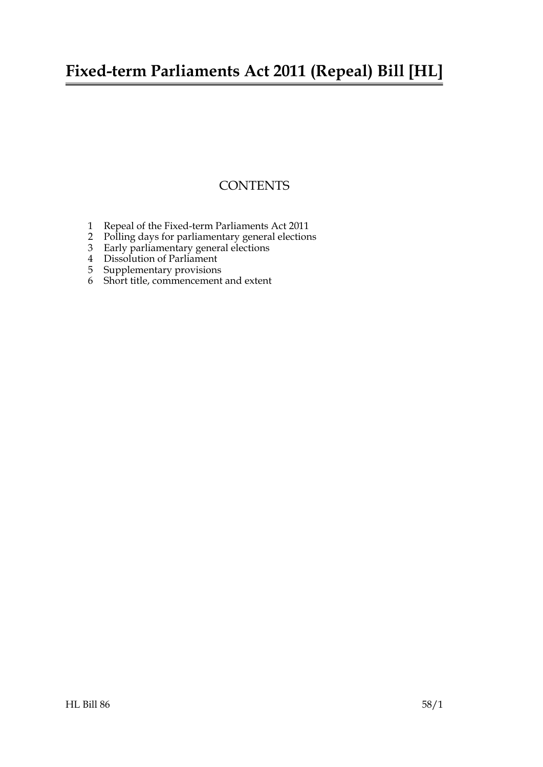## **Fixed-term Parliaments Act 2011 (Repeal) Bill [HL]**

### **CONTENTS**

- [1 Repeal of the Fixed-term Parliaments Act 2011](#page-2-0)
- [2 Polling days for parliamentary general elections](#page-2-1)
- [3 Early parliamentary general elections](#page-2-2)
- [4 Dissolution of Parliament](#page-3-0)
- [5 Supplementary provisions](#page-3-1)
- 6 [Short title, commencement and extent](#page-3-2)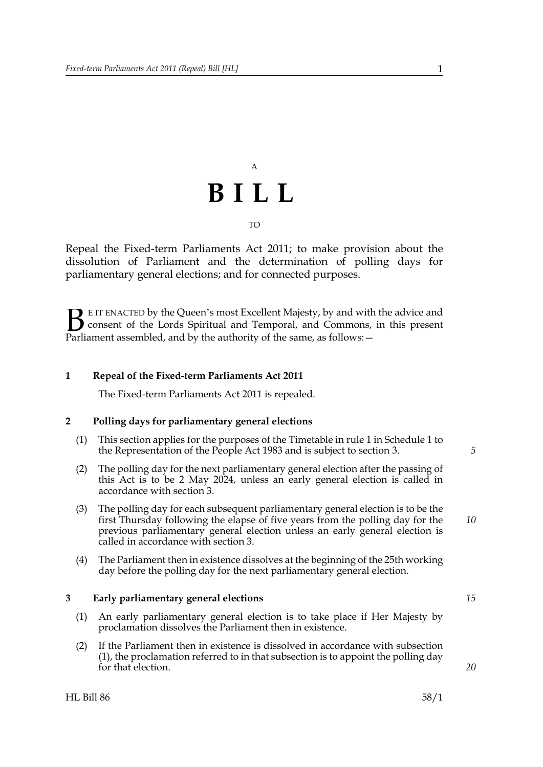# A **BILL** TO

Repeal the Fixed-term Parliaments Act 2011; to make provision about the dissolution of Parliament and the determination of polling days for parliamentary general elections; and for connected purposes.

E IT ENACTED by the Queen's most Excellent Majesty, by and with the advice and consent of the Lords Spiritual and Temporal, and Commons, in this present Parliament assembled, and by the authority of the same, as follows:  $\mathbf{B}_{\text{e}$ 

#### **1 Repeal of the Fixed-term Parliaments Act 2011**

<span id="page-2-1"></span><span id="page-2-0"></span>The Fixed-term Parliaments Act 2011 is repealed.

#### <span id="page-2-5"></span>**2 Polling days for parliamentary general elections**

- (1) This section applies for the purposes of the Timetable in rule 1 in Schedule 1 to the Representation of the People Act 1983 and is subject to section [3.](#page-2-3)
- <span id="page-2-6"></span>(2) The polling day for the next parliamentary general election after the passing of this Act is to be 2 May 2024, unless an early general election is called in accordance with section [3](#page-2-3).
- (3) The polling day for each subsequent parliamentary general election is to be the first Thursday following the elapse of five years from the polling day for the previous parliamentary general election unless an early general election is called in accordance with section [3](#page-2-3).
- <span id="page-2-7"></span>(4) The Parliament then in existence dissolves at the beginning of the 25th working day before the polling day for the next parliamentary general election.

#### <span id="page-2-3"></span><span id="page-2-2"></span>**3 Early parliamentary general elections**

- <span id="page-2-4"></span>(1) An early parliamentary general election is to take place if Her Majesty by proclamation dissolves the Parliament then in existence.
- (2) If the Parliament then in existence is dissolved in accordance with subsection [\(1\),](#page-2-4) the proclamation referred to in that subsection is to appoint the polling day for that election.

*10*

*5*

*15*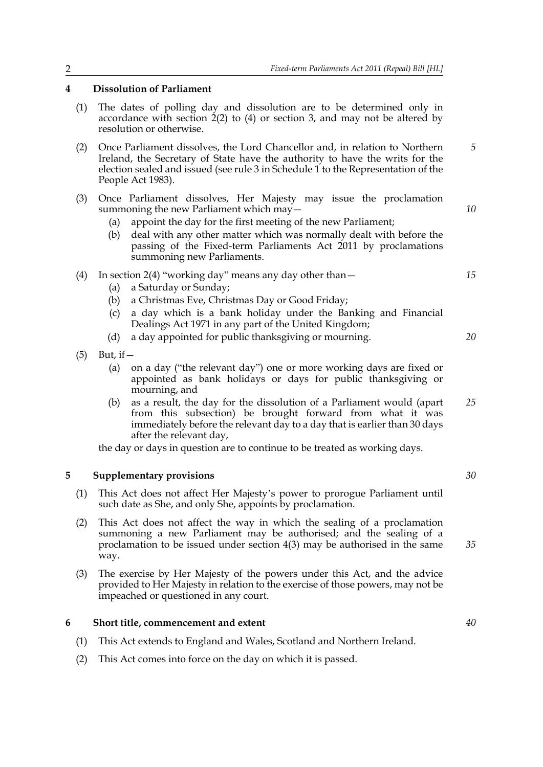#### <span id="page-3-3"></span><span id="page-3-0"></span>**4 Dissolution of Parliament**

- (1) The dates of polling day and dissolution are to be determined only in accordance with section  $\dot{2}(2)$  $\dot{2}(2)$  $\dot{2}(2)$  $\dot{2}(2)$  to [\(4\)](#page-2-7) or section [3,](#page-2-3) and may not be altered by resolution or otherwise.
- (2) Once Parliament dissolves, the Lord Chancellor and, in relation to Northern Ireland, the Secretary of State have the authority to have the writs for the election sealed and issued (see rule 3 in Schedule 1 to the Representation of the People Act 1983).
- <span id="page-3-4"></span>(3) Once Parliament dissolves, Her Majesty may issue the proclamation summoning the new Parliament which may -
	- (a) appoint the day for the first meeting of the new Parliament;
	- (b) deal with any other matter which was normally dealt with before the passing of the Fixed-term Parliaments Act 2011 by proclamations summoning new Parliaments.
- (4) In section [2](#page-2-5)[\(4\)](#page-2-7) "working day" means any day other than  $-$ 
	- (a) a Saturday or Sunday;
	- (b) a Christmas Eve, Christmas Day or Good Friday;
	- (c) a day which is a bank holiday under the Banking and Financial Dealings Act 1971 in any part of the United Kingdom;
	- (d) a day appointed for public thanksgiving or mourning.
- $(5)$  But, if  $-$ 
	- (a) on a day ("the relevant day") one or more working days are fixed or appointed as bank holidays or days for public thanksgiving or mourning, and
	- (b) as a result, the day for the dissolution of a Parliament would (apart from this subsection) be brought forward from what it was immediately before the relevant day to a day that is earlier than 30 days after the relevant day, *25*

<span id="page-3-1"></span>the day or days in question are to continue to be treated as working days.

#### **5 Supplementary provisions**

- (1) This Act does not affect Her Majesty's power to prorogue Parliament until such date as She, and only She, appoints by proclamation.
- (2) This Act does not affect the way in which the sealing of a proclamation summoning a new Parliament may be authorised; and the sealing of a proclamation to be issued under section [4](#page-3-3)[\(3\)](#page-3-4) may be authorised in the same way.
- (3) The exercise by Her Majesty of the powers under this Act, and the advice provided to Her Majesty in relation to the exercise of those powers, may not be impeached or questioned in any court.

#### <span id="page-3-2"></span>**6 Short title, commencement and extent**

- (1) This Act extends to England and Wales, Scotland and Northern Ireland.
- (2) This Act comes into force on the day on which it is passed.

*30*

*35*

*5*

*10*

*15*

*20*

*40*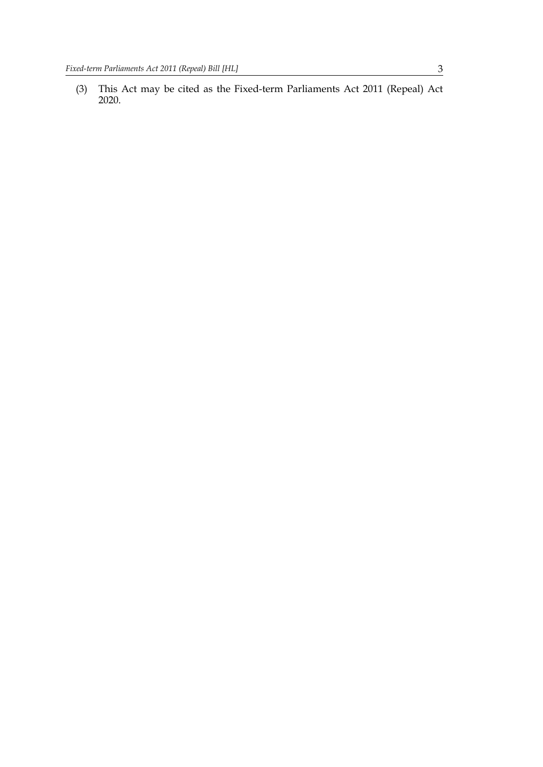(3) This Act may be cited as the Fixed-term Parliaments Act 2011 (Repeal) Act 2020.